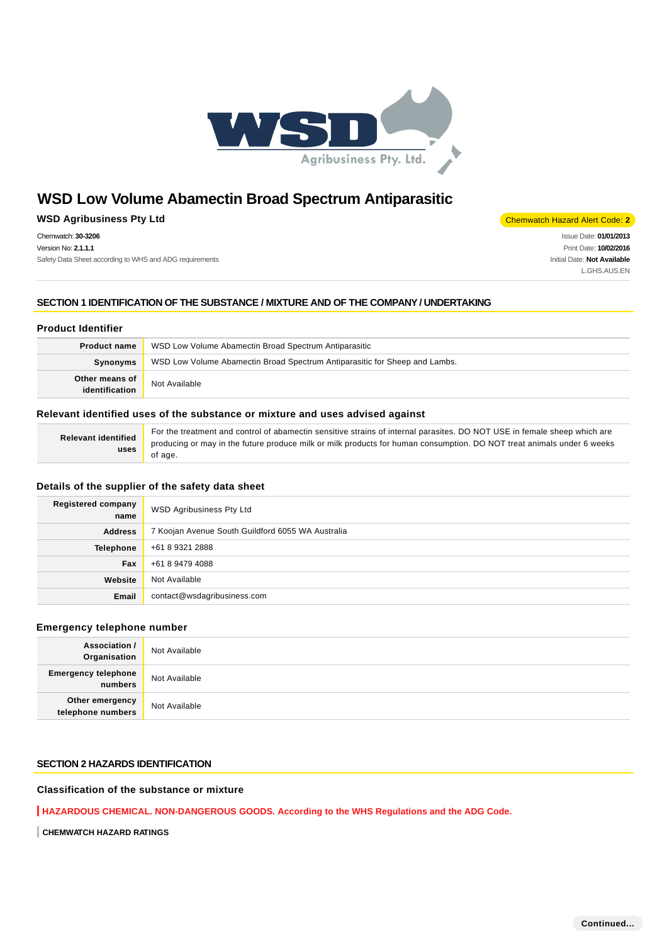

## **WSD Agribusiness Pty Ltd** Chemwatch Hazard Alert Code: 2

Chemwatch: **30-3206** Version No: **2.1.1.1** Safety Data Sheet according to WHS and ADG requirements

Issue Date: **01/01/2013** Print Date: **10/02/2016** Initial Date: **Not Available** L.GHS.AUS.EN

## **SECTION 1 IDENTIFICATION OF THE SUBSTANCE / MIXTURE AND OF THE COMPANY / UNDERTAKING**

## **Product Identifier**

| <b>Product name</b>              | WSD Low Volume Abamectin Broad Spectrum Antiparasitic                      |
|----------------------------------|----------------------------------------------------------------------------|
| Synonyms                         | WSD Low Volume Abamectin Broad Spectrum Antiparasitic for Sheep and Lambs. |
| Other means of<br>identification | Not Available                                                              |

## **Relevant identified uses of the substance or mixture and uses advised against**

| <b>Relevant identified</b> | For the treatment and control of abamectin sensitive strains of internal parasites. DO NOT USE in female sheep which are |
|----------------------------|--------------------------------------------------------------------------------------------------------------------------|
| uses                       | producing or may in the future produce milk or milk products for human consumption. DO NOT treat animals under 6 weeks   |
|                            | of age.                                                                                                                  |

## **Details of the supplier of the safety data sheet**

| <b>Registered company</b><br>name | <b>WSD Agribusiness Pty Ltd</b>                   |  |
|-----------------------------------|---------------------------------------------------|--|
| <b>Address</b>                    | 7 Koojan Avenue South Guildford 6055 WA Australia |  |
| <b>Telephone</b>                  | +61 8 9321 2888                                   |  |
| <b>Fax</b>                        | +61 8 9479 4088                                   |  |
| Website                           | Not Available                                     |  |
| Email                             | contact@wsdagribusiness.com                       |  |

## **Emergency telephone number**

| <b>Association /</b><br>Organisation  | Not Available |
|---------------------------------------|---------------|
| <b>Emergency telephone</b><br>numbers | Not Available |
| Other emergency<br>telephone numbers  | Not Available |

## **SECTION 2 HAZARDS IDENTIFICATION**

## **Classification of the substance or mixture**

**HAZARDOUS CHEMICAL. NON-DANGEROUS GOODS. According to the WHS Regulations and the ADG Code.**

**CHEMWATCH HAZARD RATINGS**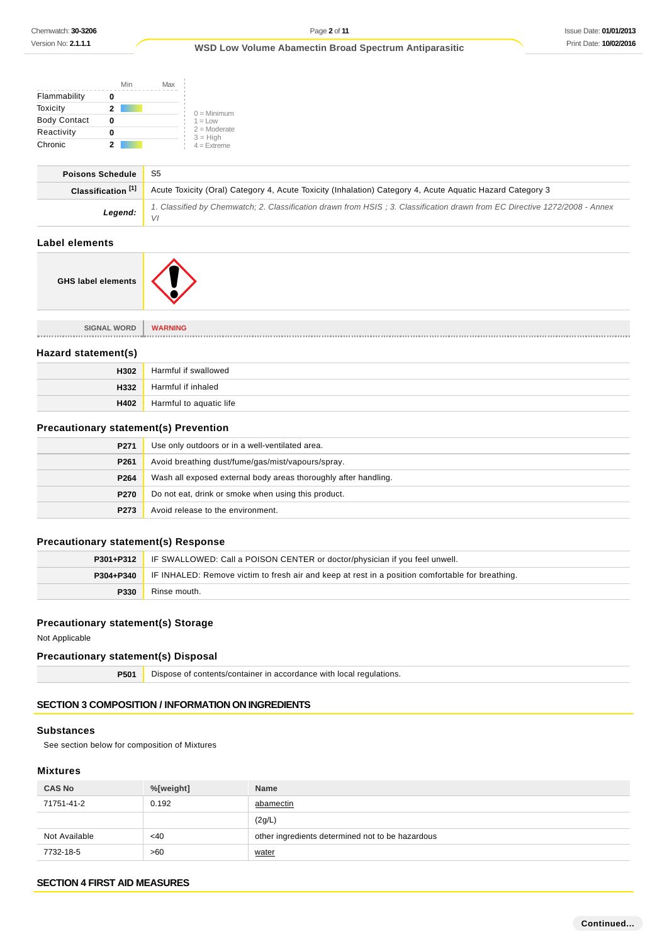|                     | Min | Max |                              |
|---------------------|-----|-----|------------------------------|
| Flammability        |     |     |                              |
| Toxicity            | 2   |     | $0 =$ Minimum                |
| <b>Body Contact</b> | Ω   |     | $1 = 1$ OW                   |
| Reactivity          |     |     | $2 =$ Moderate<br>$3 = High$ |
| Chronic             |     |     | $4 =$ Extreme                |

| <b>Poisons Schedule</b>       | S5                                                                                                                               |
|-------------------------------|----------------------------------------------------------------------------------------------------------------------------------|
| Classification <sup>[1]</sup> | Acute Toxicity (Oral) Category 4, Acute Toxicity (Inhalation) Category 4, Acute Aguatic Hazard Category 3                        |
| Legend:                       | 1. Classified by Chemwatch: 2. Classification drawn from HSIS: 3. Classification drawn from EC Directive 1272/2008 - Annex<br>VI |
| منسميسمام امتاما              |                                                                                                                                  |

#### **Label elements**



| <b>SIGNAL WORD</b>  | <b>WARNING</b>          |
|---------------------|-------------------------|
| Hazard statement(s) |                         |
| H302                | Harmful if swallowed    |
| H332                | Harmful if inhaled      |
| H402                | Harmful to aquatic life |

## **Precautionary statement(s) Prevention**

| P271             | Use only outdoors or in a well-ventilated area.                 |
|------------------|-----------------------------------------------------------------|
| P <sub>261</sub> | Avoid breathing dust/fume/gas/mist/vapours/spray.               |
| P <sub>264</sub> | Wash all exposed external body areas thoroughly after handling. |
| <b>P270</b>      | Do not eat, drink or smoke when using this product.             |
| P273             | Avoid release to the environment.                               |

## **Precautionary statement(s) Response**

| P301+P312 | <b>IF SWALLOWED: Call a POISON CENTER or doctor/physician if you feel unwell.</b>                |
|-----------|--------------------------------------------------------------------------------------------------|
| P304+P340 | IF INHALED: Remove victim to fresh air and keep at rest in a position comfortable for breathing. |
| P330      | Rinse mouth.                                                                                     |

## **Precautionary statement(s) Storage**

Not Applicable

## **Precautionary statement(s) Disposal**

**P501** Dispose of contents/container in accordance with local regulations.

## **SECTION 3 COMPOSITION / INFORMATION ON INGREDIENTS**

## **Substances**

See section below for composition of Mixtures

## **Mixtures**

| <b>CAS No</b> | %[weight] | <b>Name</b>                                      |
|---------------|-----------|--------------------------------------------------|
| 71751-41-2    | 0.192     | abamectin                                        |
|               |           | (2g/L)                                           |
| Not Available | $<$ 40    | other ingredients determined not to be hazardous |
| 7732-18-5     | >60       | water                                            |

## **SECTION 4 FIRST AID MEASURES**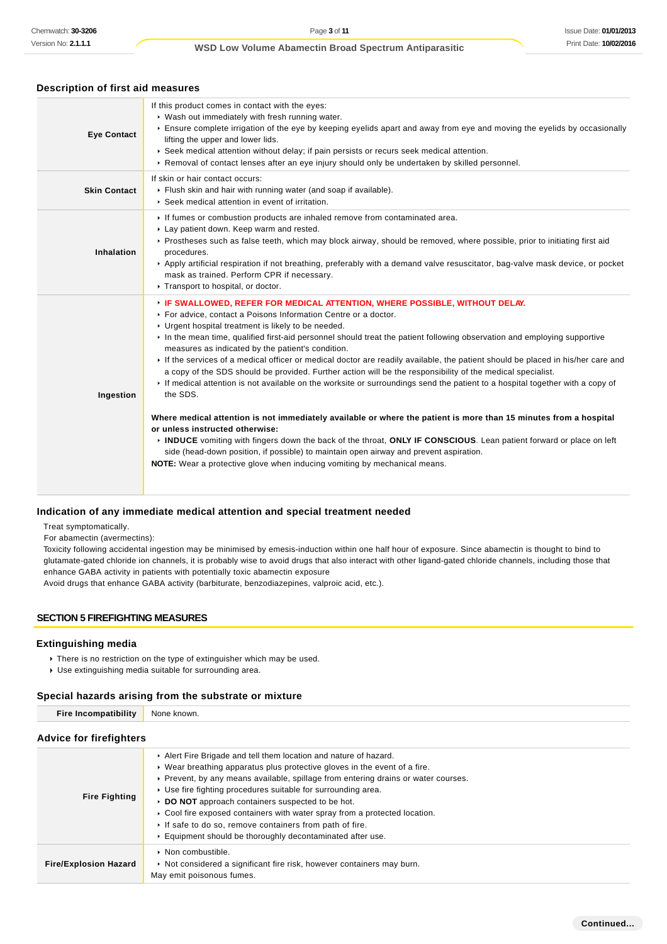## **Description of first aid measures**

| <b>Eye Contact</b>  | If this product comes in contact with the eyes:<br>▶ Wash out immediately with fresh running water.<br>Ensure complete irrigation of the eye by keeping eyelids apart and away from eye and moving the eyelids by occasionally<br>lifting the upper and lower lids.<br>▶ Seek medical attention without delay; if pain persists or recurs seek medical attention.<br>▶ Removal of contact lenses after an eye injury should only be undertaken by skilled personnel.                                                                                                                                                                                                                                                                                                                                                                                                                                                                                                                                                                                                                                                                                                                                                                       |
|---------------------|--------------------------------------------------------------------------------------------------------------------------------------------------------------------------------------------------------------------------------------------------------------------------------------------------------------------------------------------------------------------------------------------------------------------------------------------------------------------------------------------------------------------------------------------------------------------------------------------------------------------------------------------------------------------------------------------------------------------------------------------------------------------------------------------------------------------------------------------------------------------------------------------------------------------------------------------------------------------------------------------------------------------------------------------------------------------------------------------------------------------------------------------------------------------------------------------------------------------------------------------|
| <b>Skin Contact</b> | If skin or hair contact occurs:<br>Flush skin and hair with running water (and soap if available).<br>▶ Seek medical attention in event of irritation.                                                                                                                                                                                                                                                                                                                                                                                                                                                                                                                                                                                                                                                                                                                                                                                                                                                                                                                                                                                                                                                                                     |
| Inhalation          | If fumes or combustion products are inhaled remove from contaminated area.<br>Lay patient down. Keep warm and rested.<br>► Prostheses such as false teeth, which may block airway, should be removed, where possible, prior to initiating first aid<br>procedures.<br>Apply artificial respiration if not breathing, preferably with a demand valve resuscitator, bag-valve mask device, or pocket<br>mask as trained. Perform CPR if necessary.<br>Transport to hospital, or doctor.                                                                                                                                                                                                                                                                                                                                                                                                                                                                                                                                                                                                                                                                                                                                                      |
| Ingestion           | FIF SWALLOWED, REFER FOR MEDICAL ATTENTION, WHERE POSSIBLE, WITHOUT DELAY.<br>For advice, contact a Poisons Information Centre or a doctor.<br>• Urgent hospital treatment is likely to be needed.<br>In the mean time, qualified first-aid personnel should treat the patient following observation and employing supportive<br>measures as indicated by the patient's condition.<br>If the services of a medical officer or medical doctor are readily available, the patient should be placed in his/her care and<br>a copy of the SDS should be provided. Further action will be the responsibility of the medical specialist.<br>If medical attention is not available on the worksite or surroundings send the patient to a hospital together with a copy of<br>the SDS.<br>Where medical attention is not immediately available or where the patient is more than 15 minutes from a hospital<br>or unless instructed otherwise:<br>INDUCE vomiting with fingers down the back of the throat, ONLY IF CONSCIOUS. Lean patient forward or place on left<br>side (head-down position, if possible) to maintain open airway and prevent aspiration.<br><b>NOTE:</b> Wear a protective glove when inducing vomiting by mechanical means. |

## **Indication of any immediate medical attention and special treatment needed**

Treat symptomatically.

For abamectin (avermectins):

Toxicity following accidental ingestion may be minimised by emesis-induction within one half hour of exposure. Since abamectin is thought to bind to glutamate-gated chloride ion channels, it is probably wise to avoid drugs that also interact with other ligand-gated chloride channels, including those that enhance GABA activity in patients with potentially toxic abamectin exposure

Avoid drugs that enhance GABA activity (barbiturate, benzodiazepines, valproic acid, etc.).

## **SECTION 5 FIREFIGHTING MEASURES**

#### **Extinguishing media**

- There is no restriction on the type of extinguisher which may be used.
- Use extinguishing media suitable for surrounding area.

## **Special hazards arising from the substrate or mixture**

| Fire Incompatibility None known. |
|----------------------------------|
|----------------------------------|

## **Advice for firefighters**

| <b>Fire Fighting</b>         | Alert Fire Brigade and tell them location and nature of hazard.<br>• Wear breathing apparatus plus protective gloves in the event of a fire.<br>► Prevent, by any means available, spillage from entering drains or water courses.<br>▶ Use fire fighting procedures suitable for surrounding area.<br>DO NOT approach containers suspected to be hot.<br>► Cool fire exposed containers with water spray from a protected location.<br>If safe to do so, remove containers from path of fire.<br>Equipment should be thoroughly decontaminated after use. |
|------------------------------|------------------------------------------------------------------------------------------------------------------------------------------------------------------------------------------------------------------------------------------------------------------------------------------------------------------------------------------------------------------------------------------------------------------------------------------------------------------------------------------------------------------------------------------------------------|
| <b>Fire/Explosion Hazard</b> | • Non combustible.<br>• Not considered a significant fire risk, however containers may burn.<br>May emit poisonous fumes.                                                                                                                                                                                                                                                                                                                                                                                                                                  |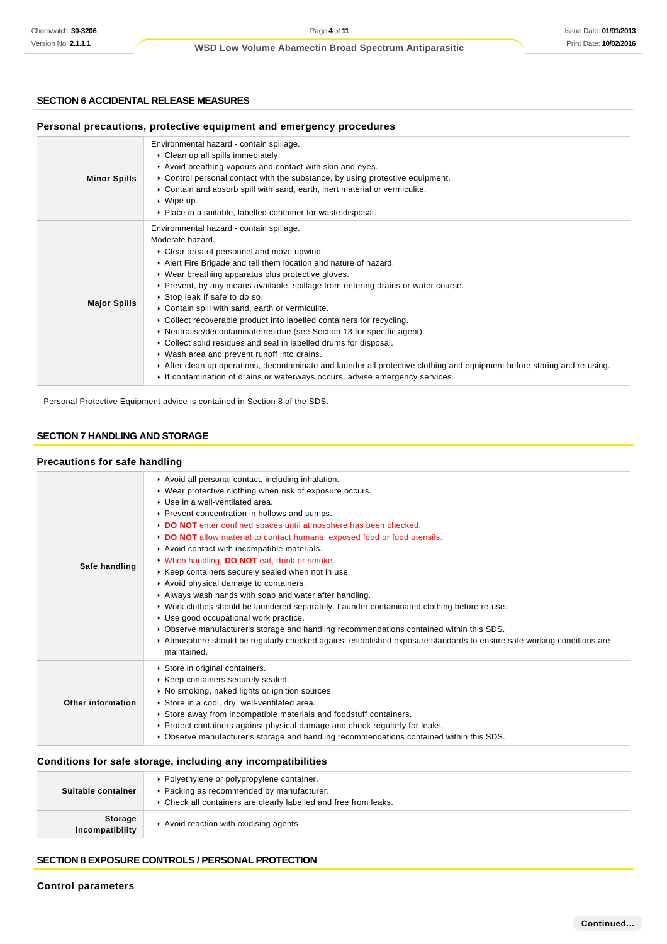## **SECTION 6 ACCIDENTAL RELEASE MEASURES**

| Personal precautions, protective equipment and emergency procedures |                                                                                                                                                                                                                                                                                                                                                                                                                                                                                                                                                                                                                                                                                                                                                                                                                                                                                          |  |  |
|---------------------------------------------------------------------|------------------------------------------------------------------------------------------------------------------------------------------------------------------------------------------------------------------------------------------------------------------------------------------------------------------------------------------------------------------------------------------------------------------------------------------------------------------------------------------------------------------------------------------------------------------------------------------------------------------------------------------------------------------------------------------------------------------------------------------------------------------------------------------------------------------------------------------------------------------------------------------|--|--|
| <b>Minor Spills</b>                                                 | Environmental hazard - contain spillage.<br>$\triangleright$ Clean up all spills immediately.<br>Avoid breathing vapours and contact with skin and eyes.<br>$\triangleright$ Control personal contact with the substance, by using protective equipment.<br>► Contain and absorb spill with sand, earth, inert material or vermiculite.<br>$\cdot$ Wipe up.<br>• Place in a suitable, labelled container for waste disposal.                                                                                                                                                                                                                                                                                                                                                                                                                                                             |  |  |
| <b>Major Spills</b>                                                 | Environmental hazard - contain spillage.<br>Moderate hazard.<br>Clear area of personnel and move upwind.<br>Alert Fire Brigade and tell them location and nature of hazard.<br>• Wear breathing apparatus plus protective gloves.<br>► Prevent, by any means available, spillage from entering drains or water course.<br>Stop leak if safe to do so.<br>Contain spill with sand, earth or vermiculite.<br>• Collect recoverable product into labelled containers for recycling.<br>• Neutralise/decontaminate residue (see Section 13 for specific agent).<br>• Collect solid residues and seal in labelled drums for disposal.<br>• Wash area and prevent runoff into drains.<br>After clean up operations, decontaminate and launder all protective clothing and equipment before storing and re-using.<br>If contamination of drains or waterways occurs, advise emergency services. |  |  |

Personal Protective Equipment advice is contained in Section 8 of the SDS.

## **SECTION 7 HANDLING AND STORAGE**

## **Precautions for safe handling**

| Safe handling     | Avoid all personal contact, including inhalation.<br>▶ Wear protective clothing when risk of exposure occurs.<br>Use in a well-ventilated area.<br>▶ Prevent concentration in hollows and sumps.<br>DO NOT enter confined spaces until atmosphere has been checked.<br>DO NOT allow material to contact humans, exposed food or food utensils.<br>Avoid contact with incompatible materials.<br>V When handling, DO NOT eat, drink or smoke.<br>▶ Keep containers securely sealed when not in use.<br>Avoid physical damage to containers.<br>Always wash hands with soap and water after handling.<br>▶ Work clothes should be laundered separately. Launder contaminated clothing before re-use.<br>▶ Use good occupational work practice.<br>► Observe manufacturer's storage and handling recommendations contained within this SDS.<br>► Atmosphere should be regularly checked against established exposure standards to ensure safe working conditions are<br>maintained. |
|-------------------|----------------------------------------------------------------------------------------------------------------------------------------------------------------------------------------------------------------------------------------------------------------------------------------------------------------------------------------------------------------------------------------------------------------------------------------------------------------------------------------------------------------------------------------------------------------------------------------------------------------------------------------------------------------------------------------------------------------------------------------------------------------------------------------------------------------------------------------------------------------------------------------------------------------------------------------------------------------------------------|
| Other information | Store in original containers.<br>Keep containers securely sealed.<br>• No smoking, naked lights or ignition sources.<br>Store in a cool, dry, well-ventilated area.<br>Store away from incompatible materials and foodstuff containers.<br>► Protect containers against physical damage and check regularly for leaks.<br>▶ Observe manufacturer's storage and handling recommendations contained within this SDS.                                                                                                                                                                                                                                                                                                                                                                                                                                                                                                                                                               |

## **Conditions for safe storage, including any incompatibilities**

| Suitable container                | • Polyethylene or polypropylene container.<br>▶ Packing as recommended by manufacturer.<br>• Check all containers are clearly labelled and free from leaks. |
|-----------------------------------|-------------------------------------------------------------------------------------------------------------------------------------------------------------|
| <b>Storage</b><br>incompatibility | Avoid reaction with oxidising agents                                                                                                                        |

## **SECTION 8 EXPOSURE CONTROLS / PERSONAL PROTECTION**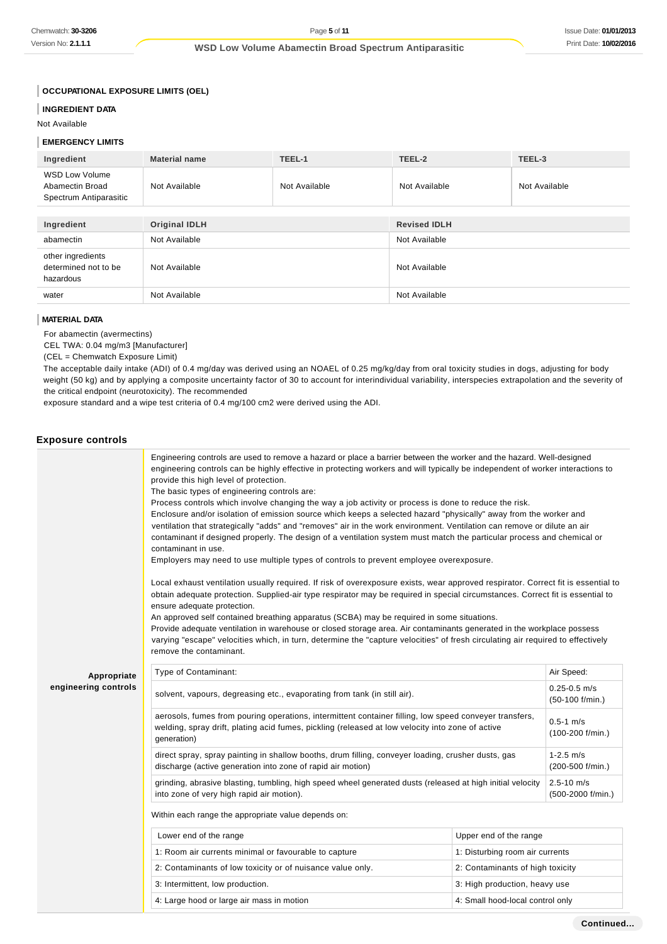**OCCUPATIONAL EXPOSURE LIMITS (OEL)**

### **INGREDIENT DATA**

Not Available

#### **EMERGENCY LIMITS**

| Ingredient                                                         | <b>Material name</b> | TEEL-1        | TEEL-2              | TEEL-3        |
|--------------------------------------------------------------------|----------------------|---------------|---------------------|---------------|
| <b>WSD Low Volume</b><br>Abamectin Broad<br>Spectrum Antiparasitic | Not Available        | Not Available | Not Available       | Not Available |
|                                                                    |                      |               |                     |               |
| Ingredient                                                         | <b>Original IDLH</b> |               | <b>Revised IDLH</b> |               |
| abamectin                                                          | Not Available        |               | Not Available       |               |
| other ingredients<br>determined not to be<br>hazardous             | Not Available        |               | Not Available       |               |
| water                                                              | Not Available        |               | Not Available       |               |

#### **MATERIAL DATA**

For abamectin (avermectins)

CEL TWA: 0.04 mg/m3 [Manufacturer]

(CEL = Chemwatch Exposure Limit)

The acceptable daily intake (ADI) of 0.4 mg/day was derived using an NOAEL of 0.25 mg/kg/day from oral toxicity studies in dogs, adjusting for body weight (50 kg) and by applying a composite uncertainty factor of 30 to account for interindividual variability, interspecies extrapolation and the severity of the critical endpoint (neurotoxicity). The recommended

exposure standard and a wipe test criteria of 0.4 mg/100 cm2 were derived using the ADI.

#### **Exposure controls Appropriate engineering controls** Engineering controls are used to remove a hazard or place a barrier between the worker and the hazard. Well-designed engineering controls can be highly effective in protecting workers and will typically be independent of worker interactions to provide this high level of protection. The basic types of engineering controls are: Process controls which involve changing the way a job activity or process is done to reduce the risk. Enclosure and/or isolation of emission source which keeps a selected hazard "physically" away from the worker and ventilation that strategically "adds" and "removes" air in the work environment. Ventilation can remove or dilute an air contaminant if designed properly. The design of a ventilation system must match the particular process and chemical or contaminant in use. Employers may need to use multiple types of controls to prevent employee overexposure. Local exhaust ventilation usually required. If risk of overexposure exists, wear approved respirator. Correct fit is essential to obtain adequate protection. Supplied-air type respirator may be required in special circumstances. Correct fit is essential to ensure adequate protection. An approved self contained breathing apparatus (SCBA) may be required in some situations. Provide adequate ventilation in warehouse or closed storage area. Air contaminants generated in the workplace possess varying "escape" velocities which, in turn, determine the "capture velocities" of fresh circulating air required to effectively remove the contaminant. Type of Contaminant: Air Speed: Air Speed: Air Speed: Air Speed: Air Speed: Air Speed: Air Speed: Air Speed: Air Speed: Air Speed: Air Speed: Air Speed: Air Speed: Air Speed: Air Speed: Air Speed: Air Speed: Air Speed: Air solvent, vapours, degreasing etc., evaporating from tank (in still air).  $0.25-0.5$  m/s (50-100 f/min.) aerosols, fumes from pouring operations, intermittent container filling, low speed conveyer transfers, welding, spray drift, plating acid fumes, pickling (released at low velocity into zone of active generation)  $0.5 - 1$  m/s (100-200 f/min.) direct spray, spray painting in shallow booths, drum filling, conveyer loading, crusher dusts, gas discharge (active generation into zone of rapid air motion) 1-2.5 m/s (200-500 f/min.) grinding, abrasive blasting, tumbling, high speed wheel generated dusts (released at high initial velocity into zone of very high rapid air motion). 2.5-10 m/s (500-2000 f/min.) Within each range the appropriate value depends on: Lower end of the range **Lower end of the range** Upper end of the range 1: Room air currents minimal or favourable to capture 1: 1: Disturbing room air currents 2: Contaminants of low toxicity or of nuisance value only. 2: Contaminants of high toxicity 3: Intermittent, low production. 3: High production, heavy use

4: Large hood or large air mass in motion 4. All the state of the small hood-local control only

#### **Continued...**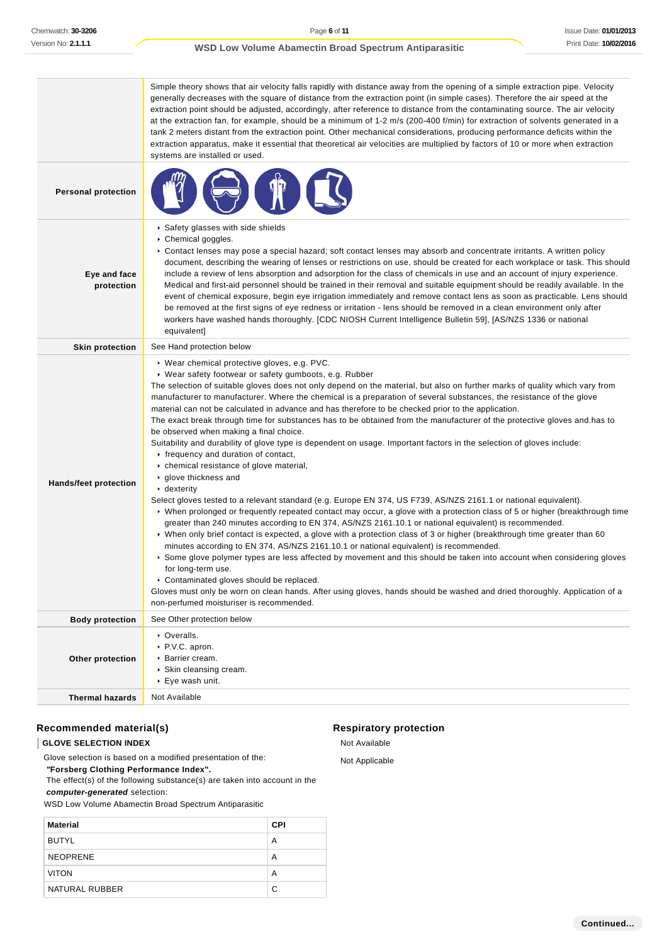|                              | Simple theory shows that air velocity falls rapidly with distance away from the opening of a simple extraction pipe. Velocity<br>generally decreases with the square of distance from the extraction point (in simple cases). Therefore the air speed at the<br>extraction point should be adjusted, accordingly, after reference to distance from the contaminating source. The air velocity<br>at the extraction fan, for example, should be a minimum of 1-2 m/s (200-400 f/min) for extraction of solvents generated in a<br>tank 2 meters distant from the extraction point. Other mechanical considerations, producing performance deficits within the<br>extraction apparatus, make it essential that theoretical air velocities are multiplied by factors of 10 or more when extraction<br>systems are installed or used.                                                                                                                                                                                                                                                                                                                                                                                                                                                                                                                                                                                                                                                                                                                                                                                                                                                                                                                                                                                                                                             |
|------------------------------|-------------------------------------------------------------------------------------------------------------------------------------------------------------------------------------------------------------------------------------------------------------------------------------------------------------------------------------------------------------------------------------------------------------------------------------------------------------------------------------------------------------------------------------------------------------------------------------------------------------------------------------------------------------------------------------------------------------------------------------------------------------------------------------------------------------------------------------------------------------------------------------------------------------------------------------------------------------------------------------------------------------------------------------------------------------------------------------------------------------------------------------------------------------------------------------------------------------------------------------------------------------------------------------------------------------------------------------------------------------------------------------------------------------------------------------------------------------------------------------------------------------------------------------------------------------------------------------------------------------------------------------------------------------------------------------------------------------------------------------------------------------------------------------------------------------------------------------------------------------------------------|
| <b>Personal protection</b>   |                                                                                                                                                                                                                                                                                                                                                                                                                                                                                                                                                                                                                                                                                                                                                                                                                                                                                                                                                                                                                                                                                                                                                                                                                                                                                                                                                                                                                                                                                                                                                                                                                                                                                                                                                                                                                                                                               |
| Eye and face<br>protection   | Safety glasses with side shields<br>Chemical goggles.<br>► Contact lenses may pose a special hazard; soft contact lenses may absorb and concentrate irritants. A written policy<br>document, describing the wearing of lenses or restrictions on use, should be created for each workplace or task. This should<br>include a review of lens absorption and adsorption for the class of chemicals in use and an account of injury experience.<br>Medical and first-aid personnel should be trained in their removal and suitable equipment should be readily available. In the<br>event of chemical exposure, begin eye irrigation immediately and remove contact lens as soon as practicable. Lens should<br>be removed at the first signs of eye redness or irritation - lens should be removed in a clean environment only after<br>workers have washed hands thoroughly. [CDC NIOSH Current Intelligence Bulletin 59], [AS/NZS 1336 or national<br>equivalent]                                                                                                                                                                                                                                                                                                                                                                                                                                                                                                                                                                                                                                                                                                                                                                                                                                                                                                             |
| <b>Skin protection</b>       | See Hand protection below                                                                                                                                                                                                                                                                                                                                                                                                                                                                                                                                                                                                                                                                                                                                                                                                                                                                                                                                                                                                                                                                                                                                                                                                                                                                                                                                                                                                                                                                                                                                                                                                                                                                                                                                                                                                                                                     |
| <b>Hands/feet protection</b> | ▶ Wear chemical protective gloves, e.g. PVC.<br>▶ Wear safety footwear or safety gumboots, e.g. Rubber<br>The selection of suitable gloves does not only depend on the material, but also on further marks of quality which vary from<br>manufacturer to manufacturer. Where the chemical is a preparation of several substances, the resistance of the glove<br>material can not be calculated in advance and has therefore to be checked prior to the application.<br>The exact break through time for substances has to be obtained from the manufacturer of the protective gloves and has to<br>be observed when making a final choice.<br>Suitability and durability of glove type is dependent on usage. Important factors in the selection of gloves include:<br>$\cdot$ frequency and duration of contact,<br>• chemical resistance of glove material,<br>▶ glove thickness and<br>$\triangleright$ dexterity<br>Select gloves tested to a relevant standard (e.g. Europe EN 374, US F739, AS/NZS 2161.1 or national equivalent).<br>▶ When prolonged or frequently repeated contact may occur, a glove with a protection class of 5 or higher (breakthrough time<br>greater than 240 minutes according to EN 374, AS/NZS 2161.10.1 or national equivalent) is recommended.<br>► When only brief contact is expected, a glove with a protection class of 3 or higher (breakthrough time greater than 60<br>minutes according to EN 374, AS/NZS 2161.10.1 or national equivalent) is recommended.<br>▶ Some glove polymer types are less affected by movement and this should be taken into account when considering gloves<br>for long-term use.<br>Contaminated gloves should be replaced.<br>Gloves must only be worn on clean hands. After using gloves, hands should be washed and dried thoroughly. Application of a<br>non-perfumed moisturiser is recommended. |
| <b>Body protection</b>       | See Other protection below                                                                                                                                                                                                                                                                                                                                                                                                                                                                                                                                                                                                                                                                                                                                                                                                                                                                                                                                                                                                                                                                                                                                                                                                                                                                                                                                                                                                                                                                                                                                                                                                                                                                                                                                                                                                                                                    |
| Other protection             | • Overalls.<br>P.V.C. apron.<br>▶ Barrier cream.<br>▶ Skin cleansing cream.<br>▶ Eye wash unit.                                                                                                                                                                                                                                                                                                                                                                                                                                                                                                                                                                                                                                                                                                                                                                                                                                                                                                                                                                                                                                                                                                                                                                                                                                                                                                                                                                                                                                                                                                                                                                                                                                                                                                                                                                               |
| Thermal hazards              | Not Available                                                                                                                                                                                                                                                                                                                                                                                                                                                                                                                                                                                                                                                                                                                                                                                                                                                                                                                                                                                                                                                                                                                                                                                                                                                                                                                                                                                                                                                                                                                                                                                                                                                                                                                                                                                                                                                                 |

## **Recommended material(s)**

**GLOVE SELECTION INDEX**

Glove selection is based on a modified presentation of the:

 **"Forsberg Clothing Performance Index".**

 The effect(s) of the following substance(s) are taken into account in the **computer-generated** selection:

WSD Low Volume Abamectin Broad Spectrum Antiparasitic

| <b>Material</b> | <b>CPI</b> |
|-----------------|------------|
| <b>BUTYL</b>    | A          |
| <b>NEOPRENE</b> | A          |
| <b>VITON</b>    | Α          |
| NATURAL RUBBER  | C          |

## **Respiratory protection**

Not Available Not Applicable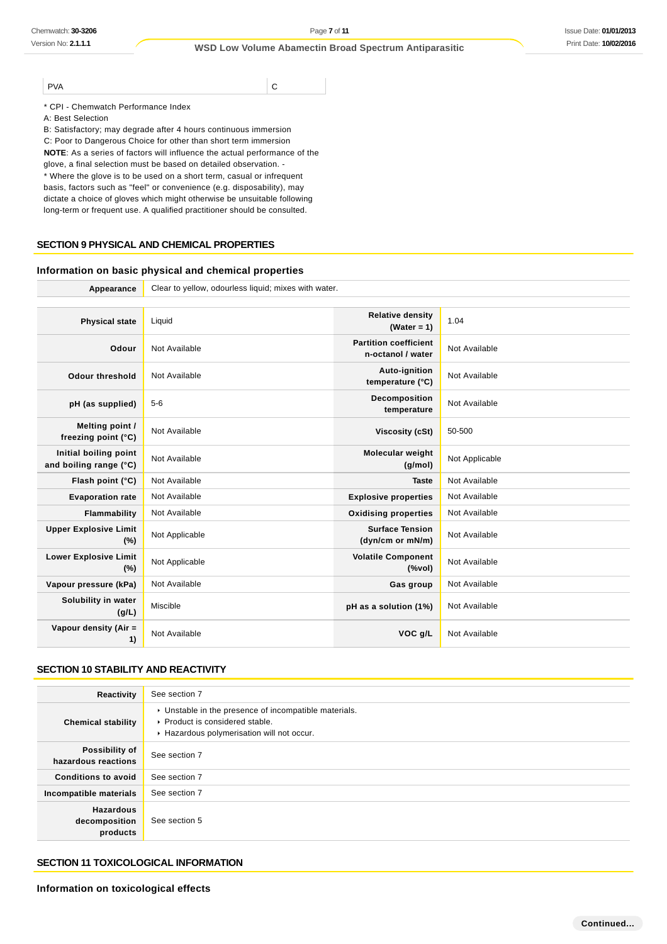PVA C

\* CPI - Chemwatch Performance Index

A: Best Selection

B: Satisfactory; may degrade after 4 hours continuous immersion

C: Poor to Dangerous Choice for other than short term immersion

**NOTE**: As a series of factors will influence the actual performance of the

glove, a final selection must be based on detailed observation. - \* Where the glove is to be used on a short term, casual or infrequent basis, factors such as "feel" or convenience (e.g. disposability), may

dictate a choice of gloves which might otherwise be unsuitable following long-term or frequent use. A qualified practitioner should be consulted.

## **SECTION 9 PHYSICAL AND CHEMICAL PROPERTIES**

### **Information on basic physical and chemical properties**

Appearance Clear to yellow, odourless liquid; mixes with water.

| <b>Physical state</b>                           | Liquid         | <b>Relative density</b><br>(Water = $1$ )         | 1.04           |
|-------------------------------------------------|----------------|---------------------------------------------------|----------------|
| Odour                                           | Not Available  | <b>Partition coefficient</b><br>n-octanol / water | Not Available  |
| <b>Odour threshold</b>                          | Not Available  | Auto-ignition<br>temperature (°C)                 | Not Available  |
| pH (as supplied)                                | $5-6$          | Decomposition<br>temperature                      | Not Available  |
| Melting point /<br>freezing point (°C)          | Not Available  | Viscosity (cSt)                                   | 50-500         |
| Initial boiling point<br>and boiling range (°C) | Not Available  | Molecular weight<br>(q/mol)                       | Not Applicable |
| Flash point (°C)                                | Not Available  | <b>Taste</b>                                      | Not Available  |
| <b>Evaporation rate</b>                         | Not Available  | <b>Explosive properties</b>                       | Not Available  |
| Flammability                                    | Not Available  | <b>Oxidising properties</b>                       | Not Available  |
| <b>Upper Explosive Limit</b><br>(%)             | Not Applicable | <b>Surface Tension</b><br>(dyn/cm or mN/m)        | Not Available  |
| <b>Lower Explosive Limit</b><br>(%)             | Not Applicable | <b>Volatile Component</b><br>$(\%$ vol)           | Not Available  |
| Vapour pressure (kPa)                           | Not Available  | Gas group                                         | Not Available  |
| Solubility in water<br>(g/L)                    | Miscible       | pH as a solution (1%)                             | Not Available  |
| Vapour density (Air =<br>1)                     | Not Available  | VOC g/L                                           | Not Available  |
|                                                 |                |                                                   |                |

## **SECTION 10 STABILITY AND REACTIVITY**

| Reactivity                                    | See section 7                                                                                                                        |
|-----------------------------------------------|--------------------------------------------------------------------------------------------------------------------------------------|
| <b>Chemical stability</b>                     | • Unstable in the presence of incompatible materials.<br>▶ Product is considered stable.<br>Hazardous polymerisation will not occur. |
| Possibility of<br>hazardous reactions         | See section 7                                                                                                                        |
| <b>Conditions to avoid</b>                    | See section 7                                                                                                                        |
| Incompatible materials                        | See section 7                                                                                                                        |
| <b>Hazardous</b><br>decomposition<br>products | See section 5                                                                                                                        |

## **SECTION 11 TOXICOLOGICAL INFORMATION**

**Information on toxicological effects**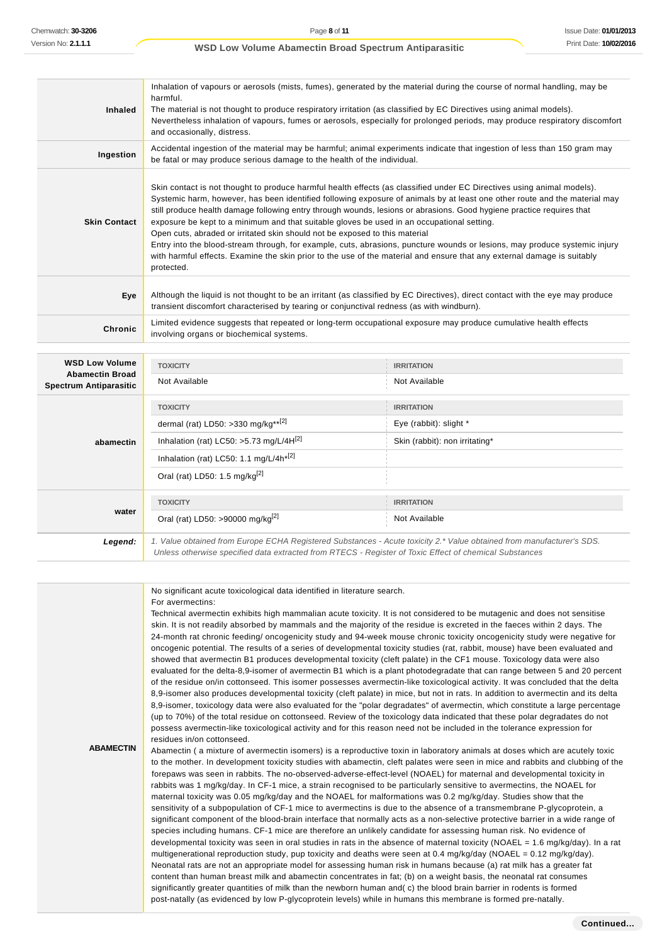| <b>Inhaled</b>                                          | Inhalation of vapours or aerosols (mists, fumes), generated by the material during the course of normal handling, may be<br>harmful.<br>The material is not thought to produce respiratory irritation (as classified by EC Directives using animal models).<br>Nevertheless inhalation of vapours, fumes or aerosols, especially for prolonged periods, may produce respiratory discomfort<br>and occasionally, distress.                                                                                                                                                                                                                                                                                                                                                                                                         |                                |  |
|---------------------------------------------------------|-----------------------------------------------------------------------------------------------------------------------------------------------------------------------------------------------------------------------------------------------------------------------------------------------------------------------------------------------------------------------------------------------------------------------------------------------------------------------------------------------------------------------------------------------------------------------------------------------------------------------------------------------------------------------------------------------------------------------------------------------------------------------------------------------------------------------------------|--------------------------------|--|
| Ingestion                                               | Accidental ingestion of the material may be harmful; animal experiments indicate that ingestion of less than 150 gram may<br>be fatal or may produce serious damage to the health of the individual.                                                                                                                                                                                                                                                                                                                                                                                                                                                                                                                                                                                                                              |                                |  |
| <b>Skin Contact</b>                                     | Skin contact is not thought to produce harmful health effects (as classified under EC Directives using animal models).<br>Systemic harm, however, has been identified following exposure of animals by at least one other route and the material may<br>still produce health damage following entry through wounds, lesions or abrasions. Good hygiene practice requires that<br>exposure be kept to a minimum and that suitable gloves be used in an occupational setting.<br>Open cuts, abraded or irritated skin should not be exposed to this material<br>Entry into the blood-stream through, for example, cuts, abrasions, puncture wounds or lesions, may produce systemic injury<br>with harmful effects. Examine the skin prior to the use of the material and ensure that any external damage is suitably<br>protected. |                                |  |
| Eye                                                     | Although the liquid is not thought to be an irritant (as classified by EC Directives), direct contact with the eye may produce<br>transient discomfort characterised by tearing or conjunctival redness (as with windburn).                                                                                                                                                                                                                                                                                                                                                                                                                                                                                                                                                                                                       |                                |  |
| <b>Chronic</b>                                          | Limited evidence suggests that repeated or long-term occupational exposure may produce cumulative health effects<br>involving organs or biochemical systems.                                                                                                                                                                                                                                                                                                                                                                                                                                                                                                                                                                                                                                                                      |                                |  |
| <b>WSD Low Volume</b>                                   | <b>TOXICITY</b>                                                                                                                                                                                                                                                                                                                                                                                                                                                                                                                                                                                                                                                                                                                                                                                                                   | <b>IRRITATION</b>              |  |
| <b>Abamectin Broad</b><br><b>Spectrum Antiparasitic</b> | Not Available                                                                                                                                                                                                                                                                                                                                                                                                                                                                                                                                                                                                                                                                                                                                                                                                                     | Not Available                  |  |
|                                                         | <b>TOXICITY</b>                                                                                                                                                                                                                                                                                                                                                                                                                                                                                                                                                                                                                                                                                                                                                                                                                   | <b>IRRITATION</b>              |  |
|                                                         | dermal (rat) LD50: >330 mg/kg**[2]                                                                                                                                                                                                                                                                                                                                                                                                                                                                                                                                                                                                                                                                                                                                                                                                | Eye (rabbit): slight *         |  |
| abamectin                                               | Inhalation (rat) LC50: >5.73 mg/L/4H[2]                                                                                                                                                                                                                                                                                                                                                                                                                                                                                                                                                                                                                                                                                                                                                                                           | Skin (rabbit): non irritating* |  |
|                                                         | Inhalation (rat) LC50: 1.1 mg/L/4h*[2]                                                                                                                                                                                                                                                                                                                                                                                                                                                                                                                                                                                                                                                                                                                                                                                            |                                |  |
|                                                         | Oral (rat) LD50: 1.5 mg/kg <sup>[2]</sup>                                                                                                                                                                                                                                                                                                                                                                                                                                                                                                                                                                                                                                                                                                                                                                                         |                                |  |
|                                                         | <b>TOXICITY</b>                                                                                                                                                                                                                                                                                                                                                                                                                                                                                                                                                                                                                                                                                                                                                                                                                   | <b>IRRITATION</b>              |  |
| water                                                   | Oral (rat) LD50: >90000 mg/kg <sup>[2]</sup>                                                                                                                                                                                                                                                                                                                                                                                                                                                                                                                                                                                                                                                                                                                                                                                      | Not Available                  |  |
|                                                         |                                                                                                                                                                                                                                                                                                                                                                                                                                                                                                                                                                                                                                                                                                                                                                                                                                   |                                |  |

Legend: 1. Value obtained from Europe ECHA Registered Substances - Acute toxicity 2.\* Value obtained from manufacturer's SDS. Unless otherwise specified data extracted from RTECS - Register of Toxic Effect of chemical Substances

**ABAMECTIN** No significant acute toxicological data identified in literature search. For avermectins: Technical avermectin exhibits high mammalian acute toxicity. It is not considered to be mutagenic and does not sensitise skin. It is not readily absorbed by mammals and the majority of the residue is excreted in the faeces within 2 days. The 24-month rat chronic feeding/ oncogenicity study and 94-week mouse chronic toxicity oncogenicity study were negative for oncogenic potential. The results of a series of developmental toxicity studies (rat, rabbit, mouse) have been evaluated and showed that avermectin B1 produces developmental toxicity (cleft palate) in the CF1 mouse. Toxicology data were also evaluated for the delta-8,9-isomer of avermectin B1 which is a plant photodegradate that can range between 5 and 20 percent of the residue on/in cottonseed. This isomer possesses avermectin-like toxicological activity. It was concluded that the delta 8,9-isomer also produces developmental toxicity (cleft palate) in mice, but not in rats. In addition to avermectin and its delta 8,9-isomer, toxicology data were also evaluated for the "polar degradates" of avermectin, which constitute a large percentage (up to 70%) of the total residue on cottonseed. Review of the toxicology data indicated that these polar degradates do not possess avermectin-like toxicological activity and for this reason need not be included in the tolerance expression for residues in/on cottonseed. Abamectin ( a mixture of avermectin isomers) is a reproductive toxin in laboratory animals at doses which are acutely toxic to the mother. In development toxicity studies with abamectin, cleft palates were seen in mice and rabbits and clubbing of the forepaws was seen in rabbits. The no-observed-adverse-effect-level (NOAEL) for maternal and developmental toxicity in rabbits was 1 mg/kg/day. In CF-1 mice, a strain recognised to be particularly sensitive to avermectins, the NOAEL for maternal toxicity was 0.05 mg/kg/day and the NOAEL for malformations was 0.2 mg/kg/day. Studies show that the sensitivity of a subpopulation of CF-1 mice to avermectins is due to the absence of a transmembrane P-glycoprotein, a significant component of the blood-brain interface that normally acts as a non-selective protective barrier in a wide range of species including humans. CF-1 mice are therefore an unlikely candidate for assessing human risk. No evidence of developmental toxicity was seen in oral studies in rats in the absence of maternal toxicity (NOAEL = 1.6 mg/kg/day). In a rat multigenerational reproduction study, pup toxicity and deaths were seen at 0.4 mg/kg/day (NOAEL = 0.12 mg/kg/day). Neonatal rats are not an appropriate model for assessing human risk in humans because (a) rat milk has a greater fat content than human breast milk and abamectin concentrates in fat; (b) on a weight basis, the neonatal rat consumes significantly greater quantities of milk than the newborn human and( c) the blood brain barrier in rodents is formed post-natally (as evidenced by low P-glycoprotein levels) while in humans this membrane is formed pre-natally.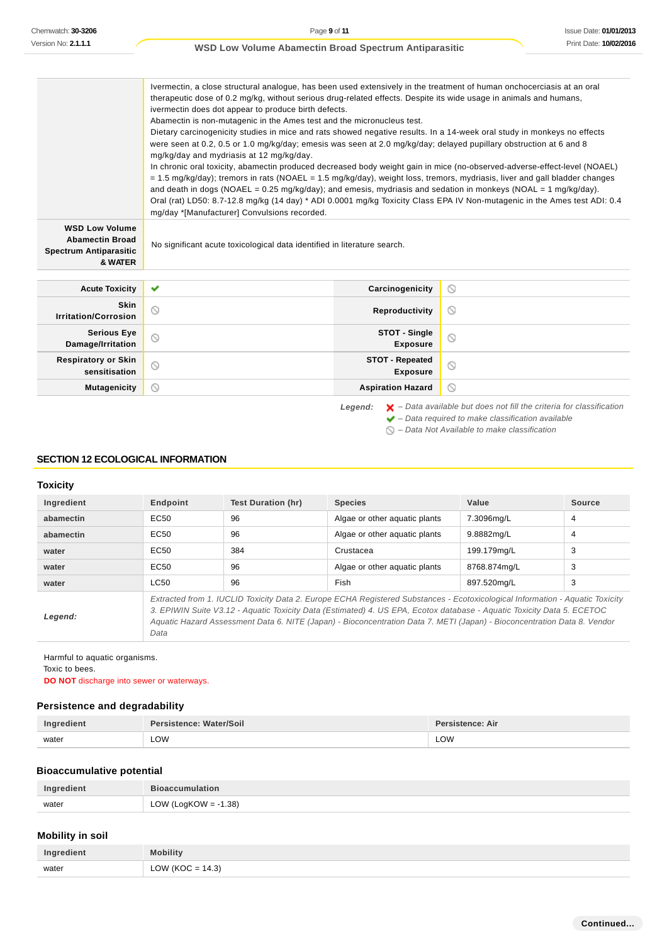Chemwatch: **30-3206**<br>
Wersian No: 2.1.1.1<br>
Wersian No: 2.1.1.1<br>
Wersian No: 2.1.1.1<br>
Wersian Some terms and 2.9.<br>
Wersian deal of the proposition of the metric in some terms of the control of the metric of the monitor of Ivermectin, a close structural analogue, has been used extensively in the treatment of human onchocerciasis at an oral therapeutic dose of 0.2 mg/kg, without serious drug-related effects. Despite its wide usage in animals and humans, ivermectin does dot appear to produce birth defects. Abamectin is non-mutagenic in the Ames test and the micronucleus test. Dietary carcinogenicity studies in mice and rats showed negative results. In a 14-week oral study in monkeys no effects were seen at 0.2, 0.5 or 1.0 mg/kg/day; emesis was seen at 2.0 mg/kg/day; delayed pupillary obstruction at 6 and 8 mg/kg/day and mydriasis at 12 mg/kg/day. In chronic oral toxicity, abamectin produced decreased body weight gain in mice (no-observed-adverse-effect-level (NOAEL) = 1.5 mg/kg/day); tremors in rats (NOAEL = 1.5 mg/kg/day), weight loss, tremors, mydriasis, liver and gall bladder changes and death in dogs (NOAEL = 0.25 mg/kg/day); and emesis, mydriasis and sedation in monkeys (NOAL = 1 mg/kg/day). Oral (rat) LD50: 8.7-12.8 mg/kg (14 day) \* ADI 0.0001 mg/kg Toxicity Class EPA IV Non-mutagenic in the Ames test ADI: 0.4 mg/day \*[Manufacturer] Convulsions recorded. **WSD Low Volume Abamectin Broad** No significant acute toxicological data identified in literature search. **Spectrum Antiparasitic & WATER Acute Toxicity Carcinogenicity**  $\circ$ **Skin Irritation/Corrosion Reproductivity**  $\circ$ **Serious Eye STOT - Single**  $\circledcirc$ **Damage/Irritation Exposure STOT - Repeated Respiratory or Skin**  $\circ$ **sensitisation Exposure Mutagenicity Aspiration Hazard**  $\circledcirc$ 

Legend:  $\mathsf{X}$  – Data available but does not fill the criteria for classification  $\blacktriangleright$  – Data required to make classification available  $\bigcirc$  – Data Not Available to make classification

#### **SECTION 12 ECOLOGICAL INFORMATION**

#### **Toxicity**

| Ingredient | Endpoint                                                                                                                                                                                                                                                                                                                                                                                    | Test Duration (hr) | <b>Species</b>                | Value        | <b>Source</b>  |
|------------|---------------------------------------------------------------------------------------------------------------------------------------------------------------------------------------------------------------------------------------------------------------------------------------------------------------------------------------------------------------------------------------------|--------------------|-------------------------------|--------------|----------------|
| abamectin  | EC <sub>50</sub>                                                                                                                                                                                                                                                                                                                                                                            | 96                 | Algae or other aguatic plants | 7.3096mg/L   | $\overline{4}$ |
| abamectin  | EC50                                                                                                                                                                                                                                                                                                                                                                                        | 96                 | Algae or other aquatic plants | 9.8882mg/L   | $\overline{4}$ |
| water      | EC <sub>50</sub>                                                                                                                                                                                                                                                                                                                                                                            | 384                | Crustacea                     | 199.179mg/L  | 3              |
| water      | EC <sub>50</sub>                                                                                                                                                                                                                                                                                                                                                                            | 96                 | Algae or other aquatic plants | 8768.874ma/L | 3              |
| water      | <b>LC50</b>                                                                                                                                                                                                                                                                                                                                                                                 | 96                 | Fish                          | 897.520mg/L  | 3              |
| Legend:    | Extracted from 1. IUCLID Toxicity Data 2. Europe ECHA Registered Substances - Ecotoxicological Information - Aquatic Toxicity<br>3. EPIWIN Suite V3.12 - Aquatic Toxicity Data (Estimated) 4. US EPA, Ecotox database - Aquatic Toxicity Data 5. ECETOC<br>Aquatic Hazard Assessment Data 6. NITE (Japan) - Bioconcentration Data 7. METI (Japan) - Bioconcentration Data 8. Vendor<br>Data |                    |                               |              |                |

Harmful to aquatic organisms.

Toxic to bees.

**DO NOT** discharge into sewer or waterways.

#### **Persistence and degradability**

| Ingredient | Persistence: Water/Soil | Persistence: Air |
|------------|-------------------------|------------------|
| water      | LOW                     | LOW              |

### **Bioaccumulative potential**

| Ingredient | <b>Bioaccumulation</b>  |
|------------|-------------------------|
| water      | LOW (LogKOW = $-1.38$ ) |

### **Mobility in soil**

| Ingredient | Mobility                   |
|------------|----------------------------|
| water      | LOW (KOC = $14.3$ )<br>∟∪₩ |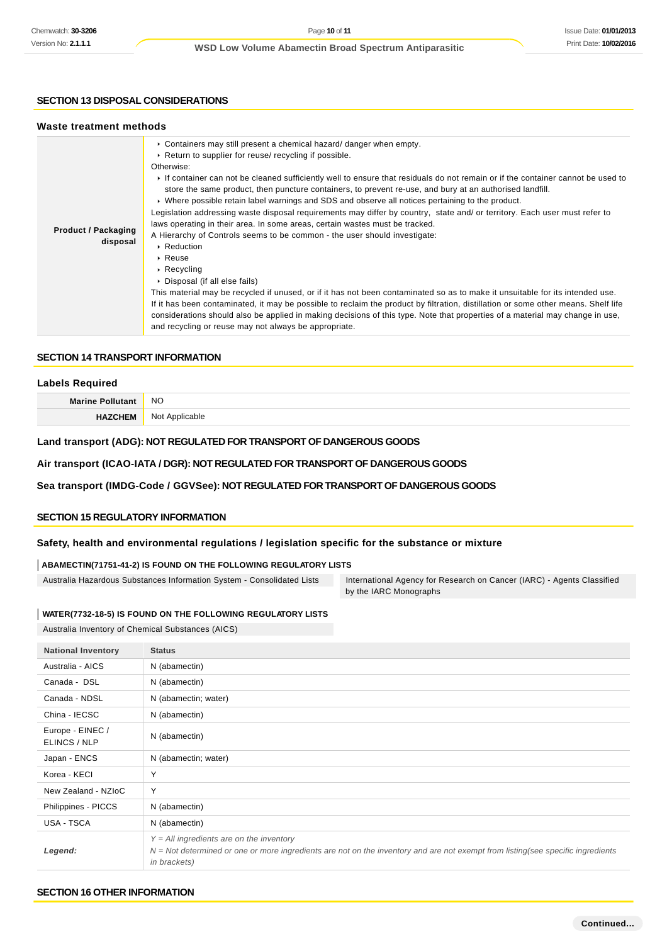### **SECTION 13 DISPOSAL CONSIDERATIONS**

| Waste treatment methods                |                                                                                                                                                                                                                                                                                                                                                                                                                                                                                                                                                                                                                                                                                                                                                                                                                                                                                                                                                                                                                                                                                                                                                                                                                                                                                                                                                                            |
|----------------------------------------|----------------------------------------------------------------------------------------------------------------------------------------------------------------------------------------------------------------------------------------------------------------------------------------------------------------------------------------------------------------------------------------------------------------------------------------------------------------------------------------------------------------------------------------------------------------------------------------------------------------------------------------------------------------------------------------------------------------------------------------------------------------------------------------------------------------------------------------------------------------------------------------------------------------------------------------------------------------------------------------------------------------------------------------------------------------------------------------------------------------------------------------------------------------------------------------------------------------------------------------------------------------------------------------------------------------------------------------------------------------------------|
| <b>Product / Packaging</b><br>disposal | • Containers may still present a chemical hazard/ danger when empty.<br>▶ Return to supplier for reuse/ recycling if possible.<br>Otherwise:<br>If container can not be cleaned sufficiently well to ensure that residuals do not remain or if the container cannot be used to<br>store the same product, then puncture containers, to prevent re-use, and bury at an authorised landfill.<br>► Where possible retain label warnings and SDS and observe all notices pertaining to the product.<br>Legislation addressing waste disposal requirements may differ by country, state and/ or territory. Each user must refer to<br>laws operating in their area. In some areas, certain wastes must be tracked.<br>A Hierarchy of Controls seems to be common - the user should investigate:<br>$\cdot$ Reduction<br>$\triangleright$ Reuse<br>$\triangleright$ Recycling<br>▶ Disposal (if all else fails)<br>This material may be recycled if unused, or if it has not been contaminated so as to make it unsuitable for its intended use.<br>If it has been contaminated, it may be possible to reclaim the product by filtration, distillation or some other means. Shelf life<br>considerations should also be applied in making decisions of this type. Note that properties of a material may change in use,<br>and recycling or reuse may not always be appropriate. |

## **SECTION 14 TRANSPORT INFORMATION**

| <b>Labels Required</b>  |                |  |
|-------------------------|----------------|--|
| <b>Marine Pollutant</b> | <b>NO</b>      |  |
| <b>HAZCHEM</b>          | Not Applicable |  |

## **Land transport (ADG): NOT REGULATED FOR TRANSPORT OF DANGEROUS GOODS**

## **Air transport (ICAO-IATA / DGR): NOT REGULATED FOR TRANSPORT OF DANGEROUS GOODS**

## **Sea transport (IMDG-Code / GGVSee): NOT REGULATED FOR TRANSPORT OF DANGEROUS GOODS**

## **SECTION 15 REGULATORY INFORMATION**

## **Safety, health and environmental regulations / legislation specific for the substance or mixture**

#### **ABAMECTIN(71751-41-2) IS FOUND ON THE FOLLOWING REGULATORY LISTS**

Australia Hazardous Substances Information System - Consolidated Lists International Agency for Research on Cancer (IARC) - Agents Classified

by the IARC Monographs

#### **WATER(7732-18-5) IS FOUND ON THE FOLLOWING REGULATORY LISTS**

Australia Inventory of Chemical Substances (AICS)

| <b>National Inventory</b>        | <b>Status</b>                                                                                                                                                                                           |
|----------------------------------|---------------------------------------------------------------------------------------------------------------------------------------------------------------------------------------------------------|
| Australia - AICS                 | N (abamectin)                                                                                                                                                                                           |
| Canada - DSL                     | N (abamectin)                                                                                                                                                                                           |
| Canada - NDSL                    | N (abamectin; water)                                                                                                                                                                                    |
| China - IECSC                    | N (abamectin)                                                                                                                                                                                           |
| Europe - EINEC /<br>ELINCS / NLP | N (abamectin)                                                                                                                                                                                           |
| Japan - ENCS                     | N (abamectin; water)                                                                                                                                                                                    |
| Korea - KECI                     | Y                                                                                                                                                                                                       |
| New Zealand - NZIoC              | Y                                                                                                                                                                                                       |
| Philippines - PICCS              | N (abamectin)                                                                                                                                                                                           |
| USA - TSCA                       | N (abamectin)                                                                                                                                                                                           |
| Legend:                          | $Y = All$ ingredients are on the inventory<br>$N = Not$ determined or one or more ingredients are not on the inventory and are not exempt from listing(see specific ingredients<br><i>in brackets</i> ) |